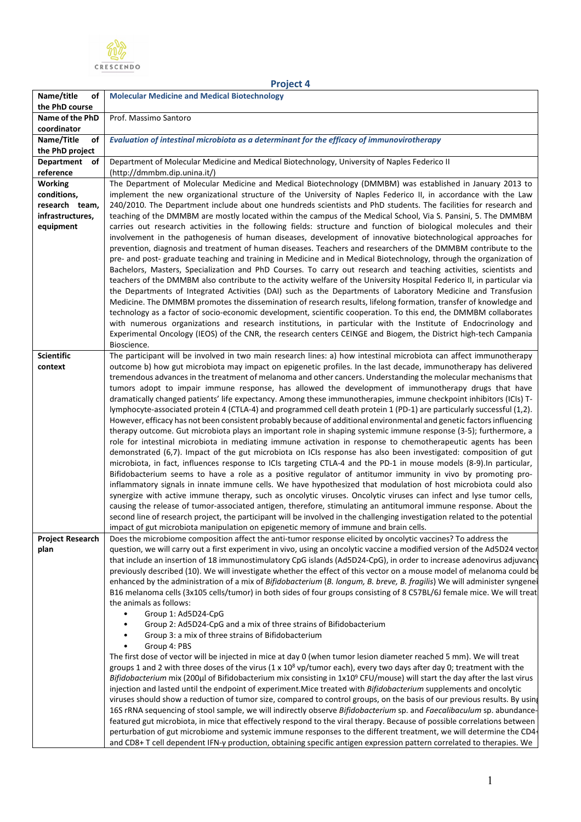

| <b>Project 4</b>                                                                 |                                                                                                                                                                                                                                                                                                                                                                                                                                                                                                                                                                                                                                                                                                                                                                                                                                                                                                                                                                                                                                                                                                                                                                                       |  |
|----------------------------------------------------------------------------------|---------------------------------------------------------------------------------------------------------------------------------------------------------------------------------------------------------------------------------------------------------------------------------------------------------------------------------------------------------------------------------------------------------------------------------------------------------------------------------------------------------------------------------------------------------------------------------------------------------------------------------------------------------------------------------------------------------------------------------------------------------------------------------------------------------------------------------------------------------------------------------------------------------------------------------------------------------------------------------------------------------------------------------------------------------------------------------------------------------------------------------------------------------------------------------------|--|
| Name/title<br>of                                                                 | <b>Molecular Medicine and Medical Biotechnology</b>                                                                                                                                                                                                                                                                                                                                                                                                                                                                                                                                                                                                                                                                                                                                                                                                                                                                                                                                                                                                                                                                                                                                   |  |
| the PhD course                                                                   |                                                                                                                                                                                                                                                                                                                                                                                                                                                                                                                                                                                                                                                                                                                                                                                                                                                                                                                                                                                                                                                                                                                                                                                       |  |
| Name of the PhD<br>coordinator                                                   | Prof. Massimo Santoro                                                                                                                                                                                                                                                                                                                                                                                                                                                                                                                                                                                                                                                                                                                                                                                                                                                                                                                                                                                                                                                                                                                                                                 |  |
| Name/Title<br>of<br>the PhD project                                              | Evaluation of intestinal microbiota as a determinant for the efficacy of immunovirotherapy                                                                                                                                                                                                                                                                                                                                                                                                                                                                                                                                                                                                                                                                                                                                                                                                                                                                                                                                                                                                                                                                                            |  |
| Department of                                                                    | Department of Molecular Medicine and Medical Biotechnology, University of Naples Federico II                                                                                                                                                                                                                                                                                                                                                                                                                                                                                                                                                                                                                                                                                                                                                                                                                                                                                                                                                                                                                                                                                          |  |
| reference                                                                        | (http://dmmbm.dip.unina.it/)                                                                                                                                                                                                                                                                                                                                                                                                                                                                                                                                                                                                                                                                                                                                                                                                                                                                                                                                                                                                                                                                                                                                                          |  |
| <b>Working</b><br>conditions,<br>research team,<br>infrastructures,<br>equipment | The Department of Molecular Medicine and Medical Biotechnology (DMMBM) was established in January 2013 to<br>implement the new organizational structure of the University of Naples Federico II, in accordance with the Law<br>240/2010. The Department include about one hundreds scientists and PhD students. The facilities for research and<br>teaching of the DMMBM are mostly located within the campus of the Medical School, Via S. Pansini, 5. The DMMBM<br>carries out research activities in the following fields: structure and function of biological molecules and their<br>involvement in the pathogenesis of human diseases, development of innovative biotechnological approaches for                                                                                                                                                                                                                                                                                                                                                                                                                                                                                |  |
|                                                                                  | prevention, diagnosis and treatment of human diseases. Teachers and researchers of the DMMBM contribute to the<br>pre- and post- graduate teaching and training in Medicine and in Medical Biotechnology, through the organization of<br>Bachelors, Masters, Specialization and PhD Courses. To carry out research and teaching activities, scientists and<br>teachers of the DMMBM also contribute to the activity welfare of the University Hospital Federico II, in particular via<br>the Departments of Integrated Activities (DAI) such as the Departments of Laboratory Medicine and Transfusion<br>Medicine. The DMMBM promotes the dissemination of research results, lifelong formation, transfer of knowledge and<br>technology as a factor of socio-economic development, scientific cooperation. To this end, the DMMBM collaborates<br>with numerous organizations and research institutions, in particular with the Institute of Endocrinology and<br>Experimental Oncology (IEOS) of the CNR, the research centers CEINGE and Biogem, the District high-tech Campania                                                                                                  |  |
| <b>Scientific</b>                                                                | Bioscience.<br>The participant will be involved in two main research lines: a) how intestinal microbiota can affect immunotherapy                                                                                                                                                                                                                                                                                                                                                                                                                                                                                                                                                                                                                                                                                                                                                                                                                                                                                                                                                                                                                                                     |  |
| context                                                                          | outcome b) how gut microbiota may impact on epigenetic profiles. In the last decade, immunotherapy has delivered<br>tremendous advances in the treatment of melanoma and other cancers. Understanding the molecular mechanisms that<br>tumors adopt to impair immune response, has allowed the development of immunotherapy drugs that have<br>dramatically changed patients' life expectancy. Among these immunotherapies, immune checkpoint inhibitors (ICIs) T-<br>lymphocyte-associated protein 4 (CTLA-4) and programmed cell death protein 1 (PD-1) are particularly successful (1,2).<br>However, efficacy has not been consistent probably because of additional environmental and genetic factors influencing                                                                                                                                                                                                                                                                                                                                                                                                                                                                |  |
|                                                                                  | therapy outcome. Gut microbiota plays an important role in shaping systemic immune response (3-5); furthermore, a<br>role for intestinal microbiota in mediating immune activation in response to chemotherapeutic agents has been<br>demonstrated (6,7). Impact of the gut microbiota on ICIs response has also been investigated: composition of gut<br>microbiota, in fact, influences response to ICIs targeting CTLA-4 and the PD-1 in mouse models (8-9). In particular,<br>Bifidobacterium seems to have a role as a positive regulator of antitumor immunity in vivo by promoting pro-<br>inflammatory signals in innate immune cells. We have hypothesized that modulation of host microbiota could also<br>synergize with active immune therapy, such as oncolytic viruses. Oncolytic viruses can infect and lyse tumor cells,<br>causing the release of tumor-associated antigen, therefore, stimulating an antitumoral immune response. About the<br>second line of research project, the participant will be involved in the challenging investigation related to the potential<br>impact of gut microbiota manipulation on epigenetic memory of immune and brain cells. |  |
| <b>Project Research</b>                                                          | Does the microbiome composition affect the anti-tumor response elicited by oncolytic vaccines? To address the                                                                                                                                                                                                                                                                                                                                                                                                                                                                                                                                                                                                                                                                                                                                                                                                                                                                                                                                                                                                                                                                         |  |
| plan                                                                             | question, we will carry out a first experiment in vivo, using an oncolytic vaccine a modified version of the Ad5D24 vector<br>that include an insertion of 18 immunostimulatory CpG islands (Ad5D24-CpG), in order to increase adenovirus adjuvancy<br>previously described (10). We will investigate whether the effect of this vector on a mouse model of melanoma could be<br>enhanced by the administration of a mix of Bifidobacterium (B. longum, B. breve, B. fragilis) We will administer syngenet<br>B16 melanoma cells (3x105 cells/tumor) in both sides of four groups consisting of 8 C57BL/6J female mice. We will treat<br>the animals as follows:                                                                                                                                                                                                                                                                                                                                                                                                                                                                                                                      |  |
|                                                                                  | Group 1: Ad5D24-CpG<br>$\bullet$<br>Group 2: Ad5D24-CpG and a mix of three strains of Bifidobacterium<br>$\bullet$                                                                                                                                                                                                                                                                                                                                                                                                                                                                                                                                                                                                                                                                                                                                                                                                                                                                                                                                                                                                                                                                    |  |
|                                                                                  | Group 3: a mix of three strains of Bifidobacterium                                                                                                                                                                                                                                                                                                                                                                                                                                                                                                                                                                                                                                                                                                                                                                                                                                                                                                                                                                                                                                                                                                                                    |  |
|                                                                                  | Group 4: PBS                                                                                                                                                                                                                                                                                                                                                                                                                                                                                                                                                                                                                                                                                                                                                                                                                                                                                                                                                                                                                                                                                                                                                                          |  |
|                                                                                  | The first dose of vector will be injected in mice at day 0 (when tumor lesion diameter reached 5 mm). We will treat<br>groups 1 and 2 with three doses of the virus $(1 \times 10^8 \text{ vp/tumor each})$ , every two days after day 0; treatment with the<br>Bifidobacterium mix (200µl of Bifidobacterium mix consisting in 1x10 <sup>9</sup> CFU/mouse) will start the day after the last virus<br>injection and lasted until the endpoint of experiment. Mice treated with Bifidobacterium supplements and oncolytic                                                                                                                                                                                                                                                                                                                                                                                                                                                                                                                                                                                                                                                            |  |
|                                                                                  | viruses should show a reduction of tumor size, compared to control groups, on the basis of our previous results. By using<br>16S rRNA sequencing of stool sample, we will indirectly observe Bifidobacterium sp. and Faecalibaculum sp. abundance-<br>featured gut microbiota, in mice that effectively respond to the viral therapy. Because of possible correlations between<br>perturbation of gut microbiome and systemic immune responses to the different treatment, we will determine the CD4-<br>and CD8+ T cell dependent IFN-y production, obtaining specific antigen expression pattern correlated to therapies. We                                                                                                                                                                                                                                                                                                                                                                                                                                                                                                                                                        |  |